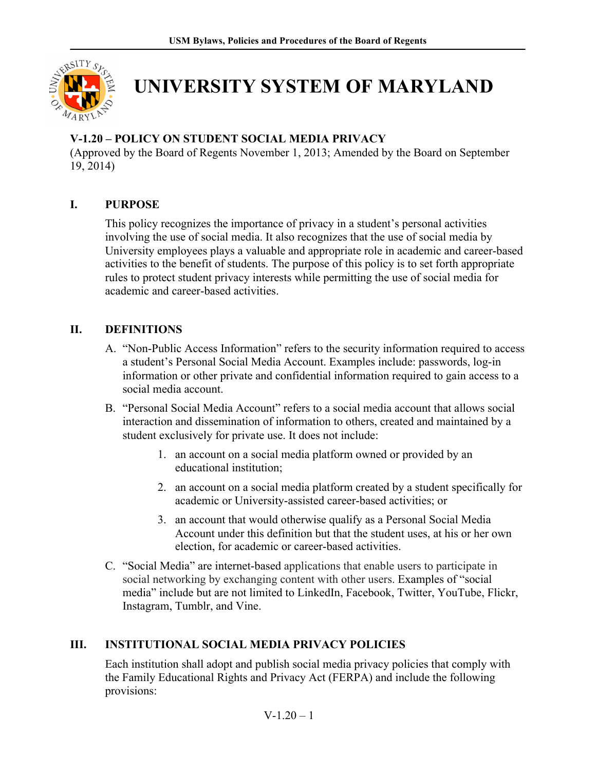

# **UNIVERSITY SYSTEM OF MARYLAND**

# **V-1.20 – POLICY ON STUDENT SOCIAL MEDIA PRIVACY**

(Approved by the Board of Regents November 1, 2013; Amended by the Board on September 19, 2014)

## **I. PURPOSE**

This policy recognizes the importance of privacy in a student's personal activities involving the use of social media. It also recognizes that the use of social media by University employees plays a valuable and appropriate role in academic and career-based activities to the benefit of students. The purpose of this policy is to set forth appropriate rules to protect student privacy interests while permitting the use of social media for academic and career-based activities.

#### **II. DEFINITIONS**

- A. "Non-Public Access Information" refers to the security information required to access a student's Personal Social Media Account. Examples include: passwords, log-in information or other private and confidential information required to gain access to a social media account.
- B. "Personal Social Media Account" refers to a social media account that allows social interaction and dissemination of information to others, created and maintained by a student exclusively for private use. It does not include:
	- 1. an account on a social media platform owned or provided by an educational institution;
	- 2. an account on a social media platform created by a student specifically for academic or University-assisted career-based activities; or
	- 3. an account that would otherwise qualify as a Personal Social Media Account under this definition but that the student uses, at his or her own election, for academic or career-based activities.
- C. "Social Media" are internet-based applications that enable users to participate in social networking by exchanging content with other users. Examples of "social media" include but are not limited to LinkedIn, Facebook, Twitter, YouTube, Flickr, Instagram, Tumblr, and Vine.

## **III. INSTITUTIONAL SOCIAL MEDIA PRIVACY POLICIES**

Each institution shall adopt and publish social media privacy policies that comply with the Family Educational Rights and Privacy Act (FERPA) and include the following provisions:

 $V-1$  20 – 1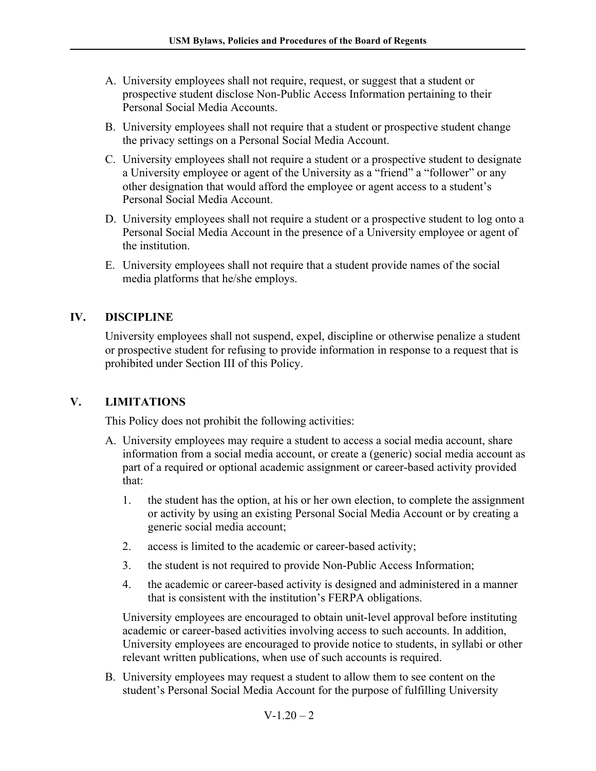- A. University employees shall not require, request, or suggest that a student or prospective student disclose Non-Public Access Information pertaining to their Personal Social Media Accounts.
- B. University employees shall not require that a student or prospective student change the privacy settings on a Personal Social Media Account.
- C. University employees shall not require a student or a prospective student to designate a University employee or agent of the University as a "friend" a "follower" or any other designation that would afford the employee or agent access to a student's Personal Social Media Account.
- D. University employees shall not require a student or a prospective student to log onto a Personal Social Media Account in the presence of a University employee or agent of the institution.
- E. University employees shall not require that a student provide names of the social media platforms that he/she employs.

# **IV. DISCIPLINE**

University employees shall not suspend, expel, discipline or otherwise penalize a student or prospective student for refusing to provide information in response to a request that is prohibited under Section III of this Policy.

## **V. LIMITATIONS**

This Policy does not prohibit the following activities:

- A. University employees may require a student to access a social media account, share information from a social media account, or create a (generic) social media account as part of a required or optional academic assignment or career-based activity provided that:
	- 1. the student has the option, at his or her own election, to complete the assignment or activity by using an existing Personal Social Media Account or by creating a generic social media account;
	- 2. access is limited to the academic or career-based activity;
	- 3. the student is not required to provide Non-Public Access Information;
	- 4. the academic or career-based activity is designed and administered in a manner that is consistent with the institution's FERPA obligations.

University employees are encouraged to obtain unit-level approval before instituting academic or career-based activities involving access to such accounts. In addition, University employees are encouraged to provide notice to students, in syllabi or other relevant written publications, when use of such accounts is required.

B. University employees may request a student to allow them to see content on the student's Personal Social Media Account for the purpose of fulfilling University

 $V-1.20 - 2$